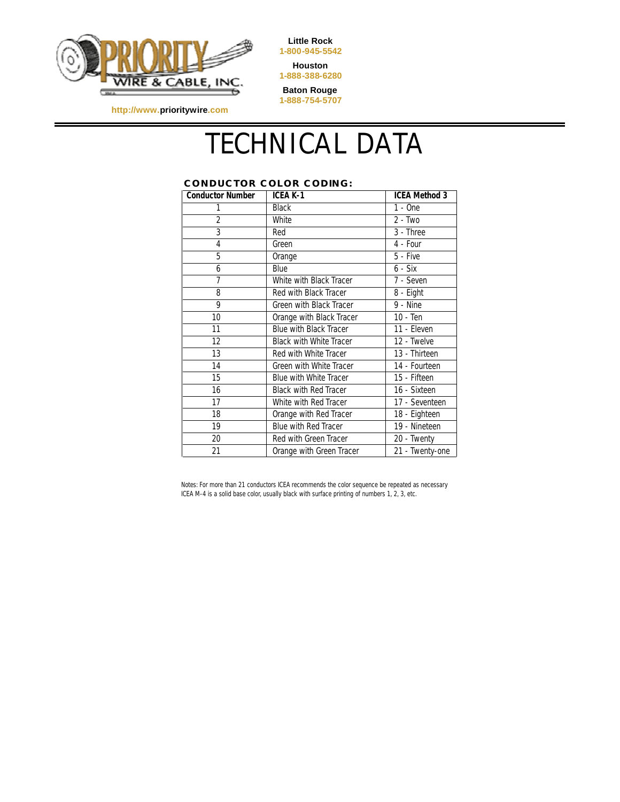

**Little Rock 1-800-945-5542**

**Houston 1-888-388-6280**

**Baton Rouge 1-888-754-5707**

**http://www.prioritywire.com**

## TECHNICAL DATA

## **CONDUCTOR COLOR CODING:**

| <b>Conductor Number</b> | ICEA K-1                       | <b>ICEA Method 3</b> |
|-------------------------|--------------------------------|----------------------|
| 1                       | <b>Black</b>                   | $1 - One$            |
| $\overline{2}$          | White                          | $2 - Two$            |
| 3                       | Red                            | 3 - Three            |
| 4                       | Green                          | 4 - Four             |
| 5                       | Orange                         | 5 - Five             |
| 6                       | Blue                           | 6 - Six              |
| $\overline{7}$          | White with Black Tracer        | 7 - Seven            |
| 8                       | Red with Black Tracer          | 8 - Eight            |
| 9                       | Green with Black Tracer        | 9 - Nine             |
| 10                      | Orange with Black Tracer       | 10 - Ten             |
| 11                      | Blue with Black Tracer         | 11 - Eleven          |
| $12 \overline{ }$       | <b>Black with White Tracer</b> | 12 - Twelve          |
| 13                      | Red with White Tracer          | 13 - Thirteen        |
| 14                      | Green with White Tracer        | 14 - Fourteen        |
| 15                      | <b>Blue with White Tracer</b>  | 15 - Fifteen         |
| 16                      | <b>Black with Red Tracer</b>   | 16 - Sixteen         |
| 17                      | White with Red Tracer          | 17 - Seventeen       |
| 18                      | Orange with Red Tracer         | 18 - Eighteen        |
| 19                      | Blue with Red Tracer           | 19 - Nineteen        |
| 20                      | Red with Green Tracer          | 20 - Twenty          |
| 21                      | Orange with Green Tracer       | 21 - Twenty-one      |

Notes: For more than 21 conductors ICEA recommends the color sequence be repeated as necessary ICEA M-4 is a solid base color, usually black with surface printing of numbers 1, 2, 3, etc.